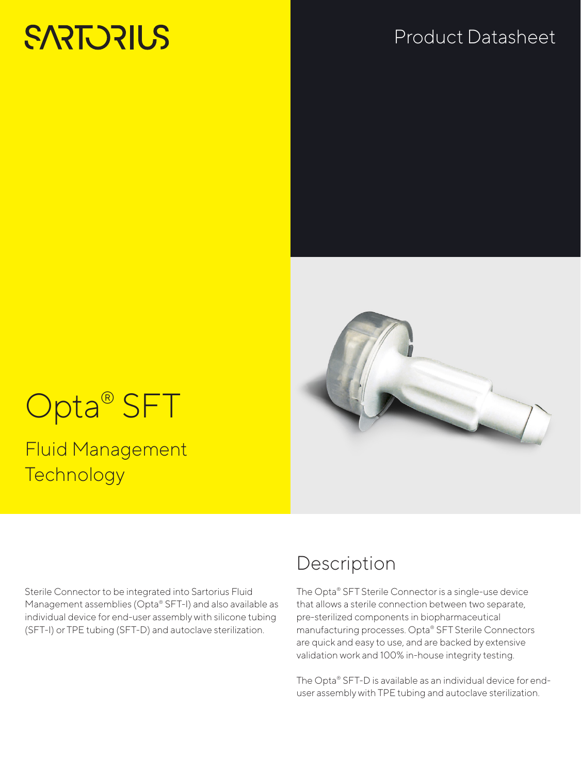# **SARTORILS**

## Product Datasheet



# Opta<sup>®</sup> SFT

Fluid Management **Technology** 

Sterile Connector to be integrated into Sartorius Fluid Management assemblies (Opta® SFT-I) and also available as individual device for end-user assembly with silicone tubing (SFT-I) or TPE tubing (SFT-D) and autoclave sterilization.

## Description

The Opta® SFT Sterile Connector is a single-use device that allows a sterile connection between two separate, pre-sterilized components in biopharmaceutical manufacturing processes. Opta® SFT Sterile Connectors are quick and easy to use, and are backed by extensive validation work and 100% in-house integrity testing.

The Opta® SFT-D is available as an individual device for enduser assembly with TPE tubing and autoclave sterilization.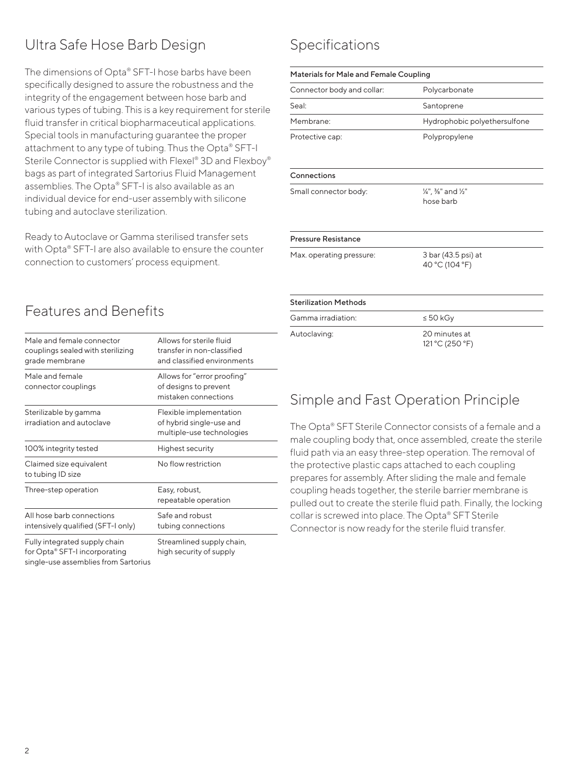#### Ultra Safe Hose Barb Design

The dimensions of Opta® SFT-I hose barbs have been specifically designed to assure the robustness and the integrity of the engagement between hose barb and various types of tubing. This is a key requirement for sterile fluid transfer in critical biopharmaceutical applications. Special tools in manufacturing guarantee the proper attachment to any type of tubing. Thus the Opta® SFT-I Sterile Connector is supplied with Flexel® 3D and Flexboy® bags as part of integrated Sartorius Fluid Management assemblies. The Opta® SFT-I is also available as an individual device for end-user assembly with silicone tubing and autoclave sterilization.

Ready to Autoclave or Gamma sterilised transfer sets with Opta® SFT-I are also available to ensure the counter connection to customers' process equipment.

#### Male and female connector couplings sealed with sterilizing grade membrane Allows for sterile fluid transfer in non-classified and classified environments Male and female connector couplings Allows for "error proofing" of designs to prevent mistaken connections Sterilizable by gamma irradiation and autoclave Flexible implementation of hybrid single-use and multiple-use technologies 100% integrity tested Highest security Claimed size equivalent to tubing ID size No flow restriction Three-step operation Easy, robust, repeatable operation All hose barb connections intensively qualified (SFT-I only) Safe and robust tubing connections Fully integrated supply chain Streamlined supply chain,

for Opta® SFT-I incorporating single-use assemblies from Sartorius

Features and Benefits

high security of supply

#### Specifications

| Materials for Male and Female Coupling |                                       |  |
|----------------------------------------|---------------------------------------|--|
| Connector body and collar:             | Polycarbonate                         |  |
| Seal:                                  | Santoprene                            |  |
| Membrane:                              | Hydrophobic polyethersulfone          |  |
| Protective cap:                        | Polypropylene                         |  |
| Connections                            |                                       |  |
| Small connector body:                  | 1/4", 3/8" and 1/2"<br>hose barb      |  |
| <b>Pressure Resistance</b>             |                                       |  |
| Max. operating pressure:               | 3 bar (43.5 psi) at<br>40 °C (104 °F) |  |
| <b>Sterilization Methods</b>           |                                       |  |
| Gamma irradiation:                     | $\leq 50$ kGy                         |  |
| Autoclaving:                           | 20 minutes at<br>121 °C (250 °F)      |  |

#### Simple and Fast Operation Principle

The Opta® SFT Sterile Connector consists of a female and a male coupling body that, once assembled, create the sterile fluid path via an easy three-step operation. The removal of the protective plastic caps attached to each coupling prepares for assembly. After sliding the male and female coupling heads together, the sterile barrier membrane is pulled out to create the sterile fluid path. Finally, the locking collar is screwed into place. The Opta® SFT Sterile Connector is now ready for the sterile fluid transfer.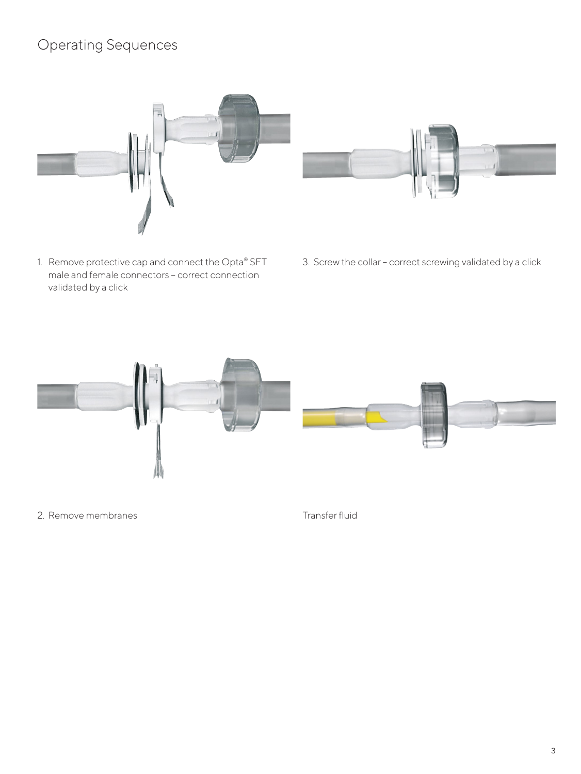#### Operating Sequences



- 1. Remove protective cap and connect the Opta® SFT male and female connectors – correct connection validated by a click
- 
- 3. Screw the collar correct screwing validated by a click



2. Remove membranes

Transfer fluid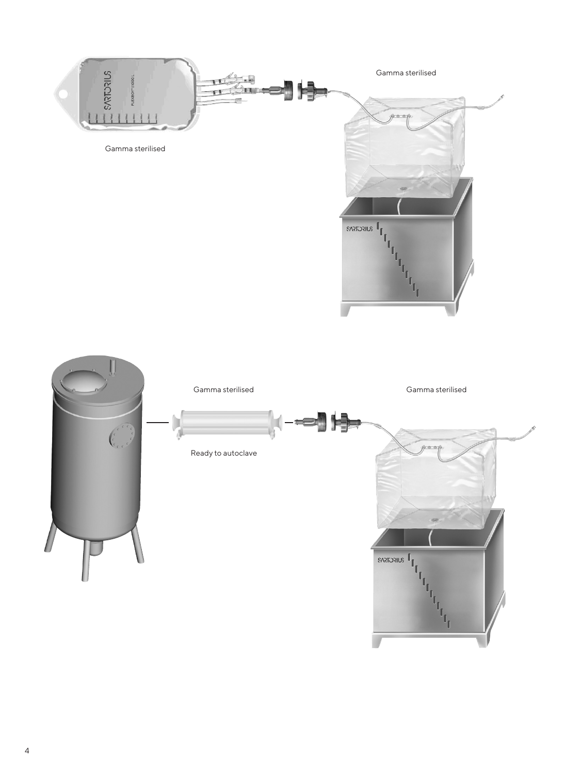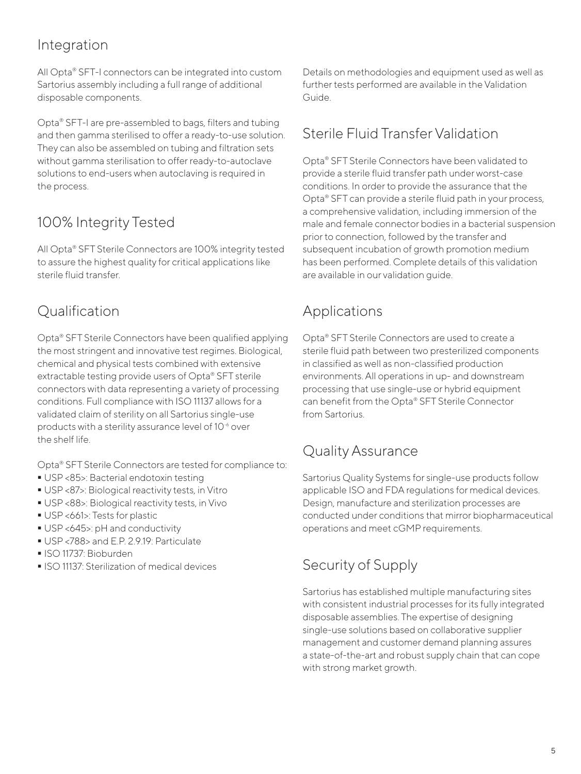#### Integration

All Opta® SFT-I connectors can be integrated into custom Sartorius assembly including a full range of additional disposable components.

Opta® SFT-I are pre-assembled to bags, filters and tubing and then gamma sterilised to offer a ready-to-use solution. They can also be assembled on tubing and filtration sets without gamma sterilisation to offer ready-to-autoclave solutions to end-users when autoclaving is required in the process.

### 100% Integrity Tested

All Opta® SFT Sterile Connectors are 100% integrity tested to assure the highest quality for critical applications like sterile fluid transfer.

#### Qualification

Opta® SFT Sterile Connectors have been qualified applying the most stringent and innovative test regimes. Biological, chemical and physical tests combined with extensive extractable testing provide users of Opta® SFT sterile connectors with data representing a variety of processing conditions. Full compliance with ISO 11137 allows for a validated claim of sterility on all Sartorius single-use products with a sterility assurance level of 10<sup>-6</sup> over the shelf life.

Opta® SFT Sterile Connectors are tested for compliance to:

- USP <85>: Bacterial endotoxin testing
- USP <87>: Biological reactivity tests, in Vitro
- USP <88>: Biological reactivity tests, in Vivo
- USP <661>: Tests for plastic
- USP <645>: pH and conductivity
- USP <788> and E.P. 2.9.19: Particulate
- ISO 11737: Bioburden
- **ISO 11137: Sterilization of medical devices**

Details on methodologies and equipment used as well as further tests performed are available in the Validation Guide.

### Sterile Fluid Transfer Validation

Opta® SFT Sterile Connectors have been validated to provide a sterile fluid transfer path under worst-case conditions. In order to provide the assurance that the Opta® SFT can provide a sterile fluid path in your process, a comprehensive validation, including immersion of the male and female connector bodies in a bacterial suspension prior to connection, followed by the transfer and subsequent incubation of growth promotion medium has been performed. Complete details of this validation are available in our validation guide.

#### Applications

Opta® SFT Sterile Connectors are used to create a sterile fluid path between two presterilized components in classified as well as non-classified production environments. All operations in up- and downstream processing that use single-use or hybrid equipment can benefit from the Opta® SFT Sterile Connector from Sartorius.

#### Quality Assurance

Sartorius Quality Systems for single-use products follow applicable ISO and FDA regulations for medical devices. Design, manufacture and sterilization processes are conducted under conditions that mirror biopharmaceutical operations and meet cGMP requirements.

#### Security of Supply

Sartorius has established multiple manufacturing sites with consistent industrial processes for its fully integrated disposable assemblies. The expertise of designing single-use solutions based on collaborative supplier management and customer demand planning assures a state-of-the-art and robust supply chain that can cope with strong market growth.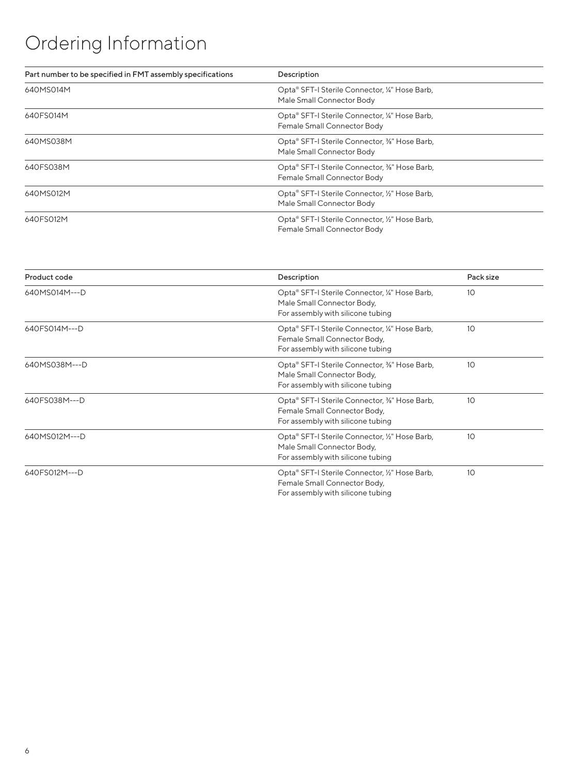# Ordering Information

| Part number to be specified in FMT assembly specifications | Description                                                                   |
|------------------------------------------------------------|-------------------------------------------------------------------------------|
| 640MS014M                                                  | Opta® SFT-I Sterile Connector, ¼" Hose Barb,<br>Male Small Connector Body     |
| 640FS014M                                                  | Opta® SFT-I Sterile Connector, ¼" Hose Barb,<br>Female Small Connector Body   |
| 640MS038M                                                  | Opta® SFT-I Sterile Connector, %" Hose Barb,<br>Male Small Connector Body     |
| 640FS038M                                                  | Opta® SFT-I Sterile Connector, %" Hose Barb,<br>Female Small Connector Body   |
| 640MS012M                                                  | Opta® SFT-I Sterile Connector, 1/2" Hose Barb,<br>Male Small Connector Body   |
| 640FS012M                                                  | Opta® SFT-I Sterile Connector, 1/2" Hose Barb,<br>Female Small Connector Body |

| Product code  | Description                                                                                                         | Pack size |
|---------------|---------------------------------------------------------------------------------------------------------------------|-----------|
| 640MS014M---D | Opta® SFT-I Sterile Connector, ¼" Hose Barb,<br>Male Small Connector Body,<br>For assembly with silicone tubing     | 10        |
| 640FS014M---D | Opta® SFT-I Sterile Connector, ¼" Hose Barb,<br>Female Small Connector Body,<br>For assembly with silicone tubing   | 10        |
| 640MS038M---D | Opta® SFT-I Sterile Connector, 3%" Hose Barb,<br>Male Small Connector Body,<br>For assembly with silicone tubing    | 10        |
| 640FS038M---D | Opta® SFT-I Sterile Connector, 3%" Hose Barb,<br>Female Small Connector Body,<br>For assembly with silicone tubing  | 10        |
| 640MS012M---D | Opta® SFT-I Sterile Connector, 1/2" Hose Barb,<br>Male Small Connector Body,<br>For assembly with silicone tubing   | 10        |
| 640FS012M---D | Opta® SFT-I Sterile Connector, 1/2" Hose Barb,<br>Female Small Connector Body,<br>For assembly with silicone tubing | 10        |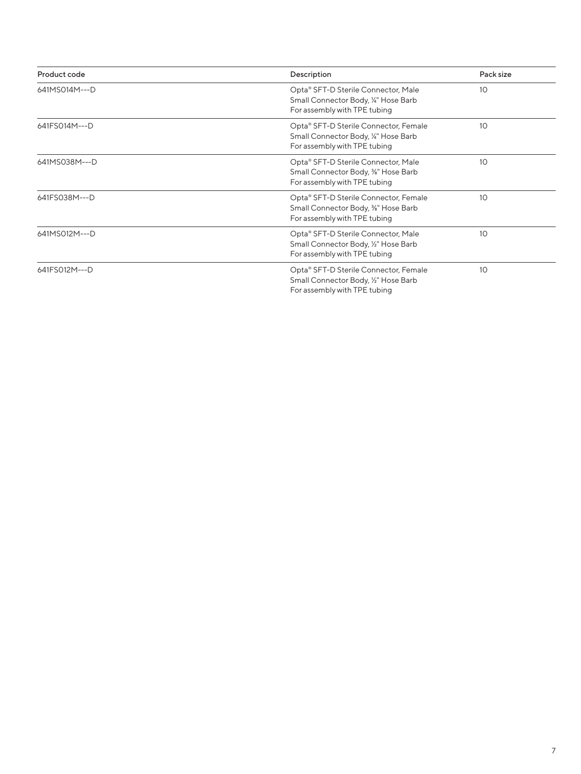| Product code  | Description                                                                                                              | Pack size |
|---------------|--------------------------------------------------------------------------------------------------------------------------|-----------|
| 641MS014M---D | Opta® SFT-D Sterile Connector, Male<br>Small Connector Body, 1/4" Hose Barb<br>For assembly with TPE tubing              | 10        |
| 641FS014M---D | Opta® SFT-D Sterile Connector, Female<br>Small Connector Body, 1/4" Hose Barb<br>For assembly with TPE tubing            | 10        |
| 641MS038M---D | Opta® SFT-D Sterile Connector, Male<br>Small Connector Body, <sup>3</sup> %" Hose Barb<br>For assembly with TPE tubing   | 10        |
| 641FS038M---D | Opta® SFT-D Sterile Connector, Female<br>Small Connector Body, <sup>3</sup> %" Hose Barb<br>For assembly with TPE tubing | 10        |
| 641MS012M---D | Opta® SFT-D Sterile Connector, Male<br>Small Connector Body, 1/2" Hose Barb<br>For assembly with TPE tubing              | 10        |
| 641FS012M---D | Opta® SFT-D Sterile Connector, Female<br>Small Connector Body, 1/2" Hose Barb<br>For assembly with TPE tubing            | 10        |